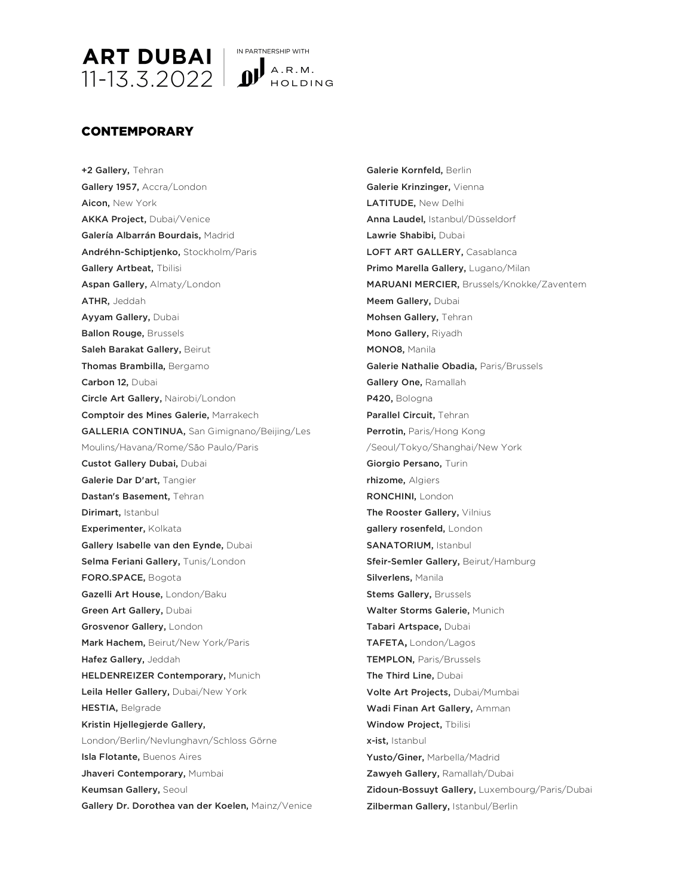

## CONTEMPORARY

+2 Gallery, Tehran Gallery 1957, Accra/London Aicon, New York AKKA Project, Dubai/Venice Galería Albarrán Bourdais, Madrid Andréhn-Schiptjenko, Stockholm/Paris Gallery Artbeat, Tbilisi Aspan Gallery, Almaty/London ATHR, Jeddah Ayyam Gallery, Dubai Ballon Rouge, Brussels Saleh Barakat Gallery, Beirut Thomas Brambilla, Bergamo Carbon 12, Dubai Circle Art Gallery, Nairobi/London Comptoir des Mines Galerie, Marrakech GALLERIA CONTINUA, San Gimignano/Beijing/Les Moulins/Havana/Rome/São Paulo/Paris Custot Gallery Dubai, Dubai Galerie Dar D'art, Tangier Dastan's Basement, Tehran Dirimart, Istanbul Experimenter, Kolkata Gallery Isabelle van den Eynde, Dubai Selma Feriani Gallery, Tunis/London FORO.SPACE, Bogota Gazelli Art House, London/Baku Green Art Gallery, Dubai Grosvenor Gallery, London Mark Hachem, Beirut/New York/Paris Hafez Gallery, Jeddah HELDENREIZER Contemporary, Munich Leila Heller Gallery, Dubai/New York HESTIA, Belgrade Kristin Hjellegjerde Gallery, London/Berlin/Nevlunghavn/Schloss Görne Isla Flotante, Buenos Aires Jhaveri Contemporary, Mumbai Keumsan Gallery, Seoul Gallery Dr. Dorothea van der Koelen, Mainz/Venice Galerie Kornfeld, Berlin Galerie Krinzinger, Vienna LATITUDE, New Delhi Anna Laudel, Istanbul/Düsseldorf Lawrie Shabibi, Dubai LOFT ART GALLERY, Casablanca Primo Marella Gallery, Lugano/Milan MARUANI MERCIER, Brussels/Knokke/Zaventem Meem Gallery, Dubai Mohsen Gallery, Tehran Mono Gallery, Riyadh MONO8, Manila Galerie Nathalie Obadia, Paris/Brussels Gallery One, Ramallah P420, Bologna Parallel Circuit, Tehran Perrotin, Paris/Hong Kong /Seoul/Tokyo/Shanghai/New York Giorgio Persano, Turin rhizome, Algiers RONCHINI, London The Rooster Gallery, Vilnius gallery rosenfeld, London SANATORIUM, Istanbul Sfeir-Semler Gallery, Beirut/Hamburg Silverlens, Manila **Stems Gallery, Brussels** Walter Storms Galerie, Munich Tabari Artspace, Dubai TAFETA**,** London/Lagos TEMPLON, Paris/Brussels The Third Line, Dubai Volte Art Projects, Dubai/Mumbai Wadi Finan Art Gallery, Amman Window Project, Tbilisi x-ist, Istanbul Yusto/Giner, Marbella/Madrid Zawyeh Gallery, Ramallah/Dubai Zidoun-Bossuyt Gallery, Luxembourg/Paris/Dubai Zilberman Gallery, Istanbul/Berlin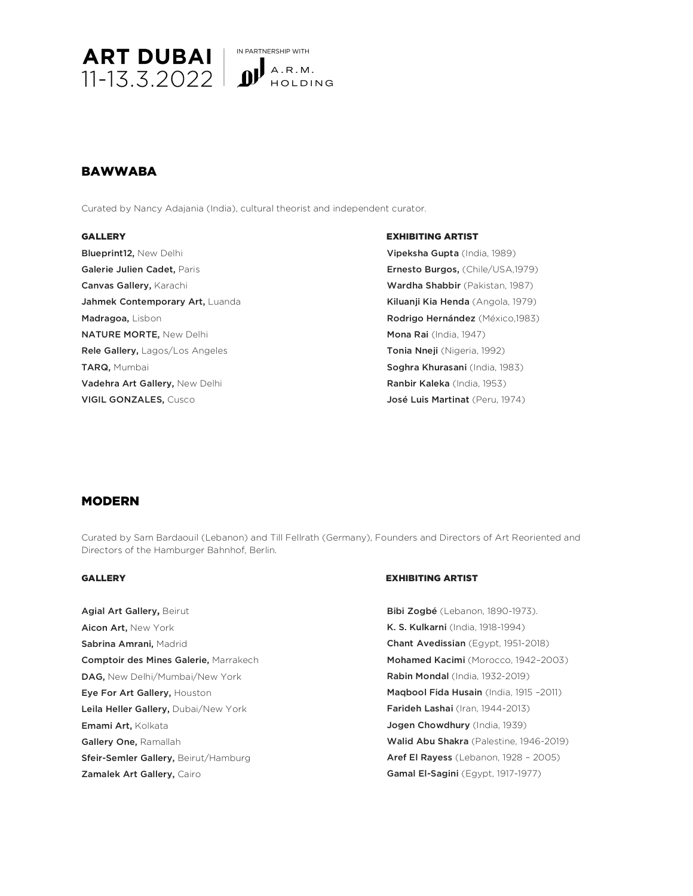

IN PARTNERSHIP WITH HOLDING

# BAWWABA

Curated by Nancy Adajania (India), cultural theorist and independent curator.

Blueprint12, New Delhi Galerie Julien Cadet, Paris Canvas Gallery, Karachi Jahmek Contemporary Art, Luanda Madragoa, Lisbon NATURE MORTE, New Delhi Rele Gallery, Lagos/Los Angeles TARQ, Mumbai Vadehra Art Gallery, New Delhi VIGIL GONZALES, Cusco

### GALLERY **EXHIBITING ARTIST**

Vipeksha Gupta (India, 1989) Ernesto Burgos, (Chile/USA,1979) Wardha Shabbir (Pakistan, 1987) Kiluanji Kia Henda (Angola, 1979) Rodrigo Hernández (México,1983) Mona Rai (India, 1947) Tonia Nneji (Nigeria, 1992) Soghra Khurasani (India, 1983) Ranbir Kaleka (India, 1953) José Luis Martinat (Peru, 1974)

## MODERN

Curated by Sam Bardaouil (Lebanon) and Till Fellrath (Germany), Founders and Directors of Art Reoriented and Directors of the Hamburger Bahnhof, Berlin.

Agial Art Gallery**,** Beirut Aicon Art, New York Sabrina Amrani, Madrid Comptoir des Mines Galerie, Marrakech DAG, New Delhi/Mumbai/New York Eye For Art Gallery, Houston Leila Heller Gallery, Dubai/New York Emami Art, Kolkata Gallery One, Ramallah Sfeir-Semler Gallery, Beirut/Hamburg Zamalek Art Gallery, Cairo

### GALLERY EXHIBITING ARTIST

Bibi Zogbé (Lebanon, 1890-1973). K. S. Kulkarni (India, 1918-1994) Chant Avedissian (Egypt, 1951-2018) Mohamed Kacimi (Morocco, 1942–2003) Rabin Mondal (India, 1932-2019) Maqbool Fida Husain (India, 1915 -2011) Farideh Lashai (Iran, 1944-2013) Jogen Chowdhury (India, 1939) Walid Abu Shakra (Palestine, 1946-2019) Aref El Rayess (Lebanon, 1928 – 2005) Gamal El-Sagini (Egypt, 1917-1977)